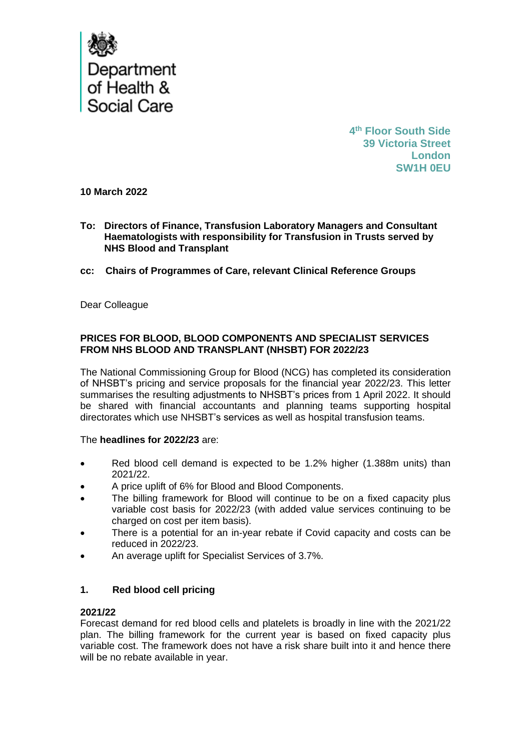

**4 th Floor South Side 39 Victoria Street London SW1H 0EU**

**10 March 2022**

- **To: Directors of Finance, Transfusion Laboratory Managers and Consultant Haematologists with responsibility for Transfusion in Trusts served by NHS Blood and Transplant**
- **cc: Chairs of Programmes of Care, relevant Clinical Reference Groups**

Dear Colleague

## **PRICES FOR BLOOD, BLOOD COMPONENTS AND SPECIALIST SERVICES FROM NHS BLOOD AND TRANSPLANT (NHSBT) FOR 2022/23**

The National Commissioning Group for Blood (NCG) has completed its consideration of NHSBT's pricing and service proposals for the financial year 2022/23. This letter summarises the resulting adjustments to NHSBT's prices from 1 April 2022. It should be shared with financial accountants and planning teams supporting hospital directorates which use NHSBT's services as well as hospital transfusion teams.

#### The **headlines for 2022/23** are:

- Red blood cell demand is expected to be 1.2% higher (1.388m units) than 2021/22.
- A price uplift of 6% for Blood and Blood Components.
- The billing framework for Blood will continue to be on a fixed capacity plus variable cost basis for 2022/23 (with added value services continuing to be charged on cost per item basis).
- There is a potential for an in-year rebate if Covid capacity and costs can be reduced in 2022/23.
- An average uplift for Specialist Services of 3.7%.

## **1. Red blood cell pricing**

#### **2021/22**

Forecast demand for red blood cells and platelets is broadly in line with the 2021/22 plan. The billing framework for the current year is based on fixed capacity plus variable cost. The framework does not have a risk share built into it and hence there will be no rebate available in year.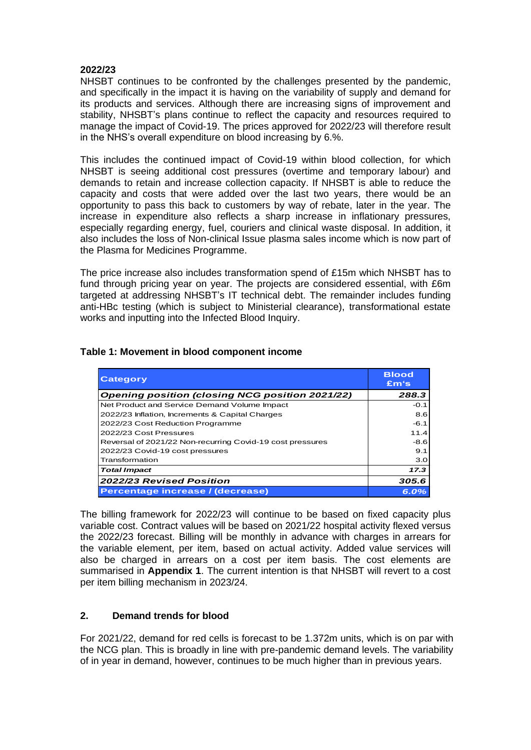## **2022/23**

NHSBT continues to be confronted by the challenges presented by the pandemic, and specifically in the impact it is having on the variability of supply and demand for its products and services. Although there are increasing signs of improvement and stability, NHSBT's plans continue to reflect the capacity and resources required to manage the impact of Covid-19. The prices approved for 2022/23 will therefore result in the NHS's overall expenditure on blood increasing by 6.%.

This includes the continued impact of Covid-19 within blood collection, for which NHSBT is seeing additional cost pressures (overtime and temporary labour) and demands to retain and increase collection capacity. If NHSBT is able to reduce the capacity and costs that were added over the last two years, there would be an opportunity to pass this back to customers by way of rebate, later in the year. The increase in expenditure also reflects a sharp increase in inflationary pressures, especially regarding energy, fuel, couriers and clinical waste disposal. In addition, it also includes the loss of Non-clinical Issue plasma sales income which is now part of the Plasma for Medicines Programme.

The price increase also includes transformation spend of £15m which NHSBT has to fund through pricing year on year. The projects are considered essential, with £6m targeted at addressing NHSBT's IT technical debt. The remainder includes funding anti-HBc testing (which is subject to Ministerial clearance), transformational estate works and inputting into the Infected Blood Inquiry.

| <b>Category</b>                                           | <b>Blood</b><br>Em's |
|-----------------------------------------------------------|----------------------|
| <b>Opening position (closing NCG position 2021/22)</b>    | 288.3                |
| Net Product and Service Demand Volume Impact              | $-0.1$               |
| 2022/23 Inflation, Increments & Capital Charges           | 8.6                  |
| 2022/23 Cost Reduction Programme                          | $-6.1$               |
| 2022/23 Cost Pressures                                    | 11.4                 |
| Reversal of 2021/22 Non-recurring Covid-19 cost pressures | -8.6                 |
| 2022/23 Covid-19 cost pressures                           | 9.1                  |
| Transformation                                            | 3.0                  |
| <b>Total Impact</b>                                       | 17.3                 |
| 2022/23 Revised Position                                  | 305.6                |
| Percentage increase / (decrease)                          | 6.0%                 |

## **Table 1: Movement in blood component income**

The billing framework for 2022/23 will continue to be based on fixed capacity plus variable cost. Contract values will be based on 2021/22 hospital activity flexed versus the 2022/23 forecast. Billing will be monthly in advance with charges in arrears for the variable element, per item, based on actual activity. Added value services will also be charged in arrears on a cost per item basis. The cost elements are summarised in **Appendix 1**. The current intention is that NHSBT will revert to a cost per item billing mechanism in 2023/24.

## **2. Demand trends for blood**

For 2021/22, demand for red cells is forecast to be 1.372m units, which is on par with the NCG plan. This is broadly in line with pre-pandemic demand levels. The variability of in year in demand, however, continues to be much higher than in previous years.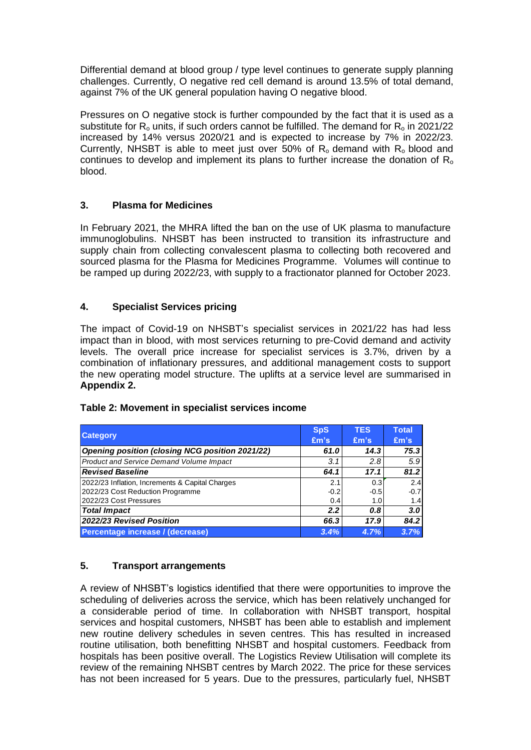Differential demand at blood group / type level continues to generate supply planning challenges. Currently, O negative red cell demand is around 13.5% of total demand, against 7% of the UK general population having O negative blood.

Pressures on O negative stock is further compounded by the fact that it is used as a substitute for  $R_0$  units, if such orders cannot be fulfilled. The demand for  $R_0$  in 2021/22 increased by 14% versus 2020/21 and is expected to increase by 7% in 2022/23. Currently, NHSBT is able to meet just over 50% of  $R_0$  demand with  $R_0$  blood and continues to develop and implement its plans to further increase the donation of  $R_0$ blood.

## **3. Plasma for Medicines**

In February 2021, the MHRA lifted the ban on the use of UK plasma to manufacture immunoglobulins. NHSBT has been instructed to transition its infrastructure and supply chain from collecting convalescent plasma to collecting both recovered and sourced plasma for the Plasma for Medicines Programme. Volumes will continue to be ramped up during 2022/23, with supply to a fractionator planned for October 2023.

## **4. Specialist Services pricing**

The impact of Covid-19 on NHSBT's specialist services in 2021/22 has had less impact than in blood, with most services returning to pre-Covid demand and activity levels. The overall price increase for specialist services is 3.7%, driven by a combination of inflationary pressures, and additional management costs to support the new operating model structure. The uplifts at a service level are summarised in **Appendix 2.**

|                                                        | <b>SpS</b> | <b>TES</b> | <b>Total</b> |
|--------------------------------------------------------|------------|------------|--------------|
| <b>Category</b>                                        | Em's       | Em's       | Em's         |
| <b>Opening position (closing NCG position 2021/22)</b> | 61.0       | 14.3       | 75.3         |
| <b>Product and Service Demand Volume Impact</b>        | 3.1        | 2.8        | 5.9          |
| <b>Revised Baseline</b>                                | 64.1       | 17.1       | 81.2         |
| 2022/23 Inflation, Increments & Capital Charges        | 2.1        | 0.3        | 2.4          |
| 2022/23 Cost Reduction Programme                       | $-0.2$     | $-0.5$     | $-0.7$       |
| 2022/23 Cost Pressures                                 | 0.4        | 1.0        | 1.4          |
| <b>Total Impact</b>                                    | 2.2        | 0.8        | 3.0          |
| 2022/23 Revised Position                               | 66.3       | 17.9       | 84.2         |
| Percentage increase / (decrease)                       | 3.4%       | 4.7%       | 3.7%         |

## **Table 2: Movement in specialist services income**

## **5. Transport arrangements**

A review of NHSBT's logistics identified that there were opportunities to improve the scheduling of deliveries across the service, which has been relatively unchanged for a considerable period of time. In collaboration with NHSBT transport, hospital services and hospital customers, NHSBT has been able to establish and implement new routine delivery schedules in seven centres. This has resulted in increased routine utilisation, both benefitting NHSBT and hospital customers. Feedback from hospitals has been positive overall. The Logistics Review Utilisation will complete its review of the remaining NHSBT centres by March 2022. The price for these services has not been increased for 5 years. Due to the pressures, particularly fuel, NHSBT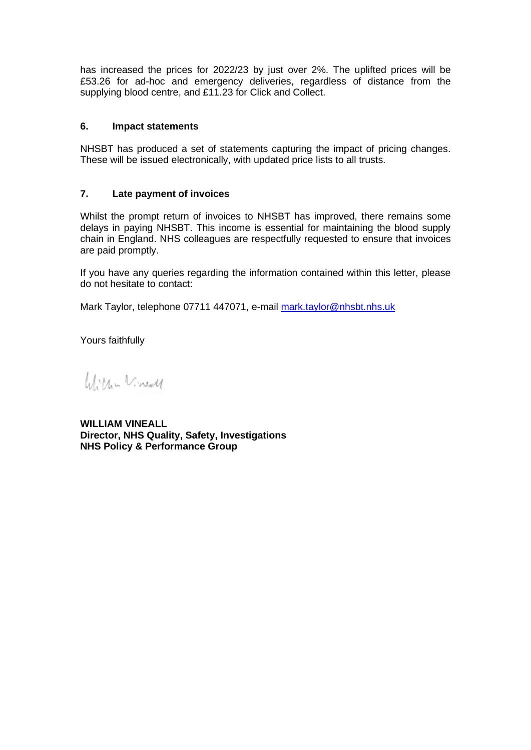has increased the prices for 2022/23 by just over 2%. The uplifted prices will be £53.26 for ad-hoc and emergency deliveries, regardless of distance from the supplying blood centre, and £11.23 for Click and Collect.

## **6. Impact statements**

NHSBT has produced a set of statements capturing the impact of pricing changes. These will be issued electronically, with updated price lists to all trusts.

## **7. Late payment of invoices**

Whilst the prompt return of invoices to NHSBT has improved, there remains some delays in paying NHSBT. This income is essential for maintaining the blood supply chain in England. NHS colleagues are respectfully requested to ensure that invoices are paid promptly.

If you have any queries regarding the information contained within this letter, please do not hesitate to contact:

Mark Taylor, telephone 07711 447071, e-mail [mark.taylor@nhsbt.nhs.uk](mailto:mark.taylor@nhsbt.nhs.uk)

Yours faithfully

William Vineall

**WILLIAM VINEALL Director, NHS Quality, Safety, Investigations NHS Policy & Performance Group**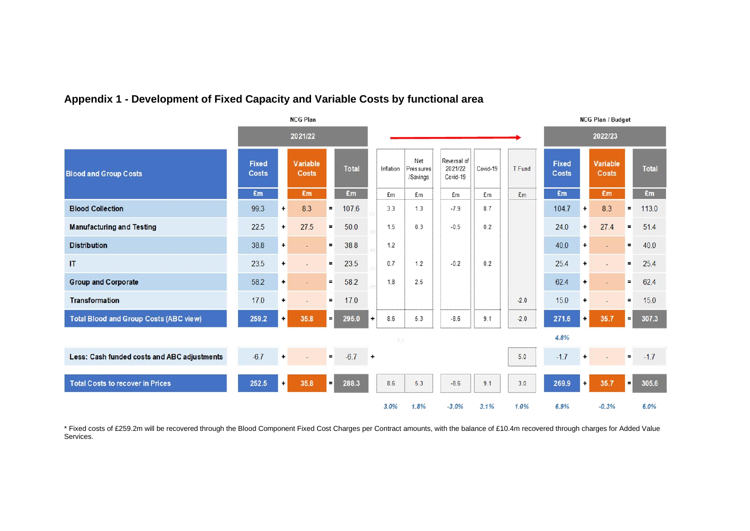## **Appendix 1 - Development of Fixed Capacity and Variable Costs by functional area**

|                                               |                              |           | <b>NCG Plan</b>          |          |              |           |           |                              |                                    |          |                |                       |                      | <b>NCG Plan / Budget</b> |          |        |
|-----------------------------------------------|------------------------------|-----------|--------------------------|----------|--------------|-----------|-----------|------------------------------|------------------------------------|----------|----------------|-----------------------|----------------------|--------------------------|----------|--------|
|                                               | 2021/22                      |           |                          |          |              |           |           | 2022/23                      |                                    |          |                |                       |                      |                          |          |        |
| <b>Blood and Group Costs</b>                  | <b>Fixed</b><br><b>Costs</b> |           | Variable<br><b>Costs</b> |          | <b>Total</b> |           | Inflation | Net<br>Pressures<br>/Savings | Reversal of<br>2021/22<br>Covid-19 | Covid-19 | T Fund         | <b>Fixed</b><br>Costs |                      | Variable<br><b>Costs</b> |          | Total  |
|                                               | £m                           |           | £m                       |          | £m           |           | £m        | £m                           | £m                                 | £m       | E <sub>m</sub> | £m                    |                      | £m                       |          | £m     |
| <b>Blood Collection</b>                       | 99.3                         | $\ddot{}$ | 8.3                      | $=$      | 107.6        |           | 3.3       | 1.3                          | $-7.9$                             | 8.7      |                | 104.7                 | $\ddot{}$            | 8.3                      | $=$      | 113.0  |
| <b>Manufacturing and Testing</b>              | 22.5                         | +         | 27.5                     | $=$      | 50.0         |           | 1.5       | 0.3                          | $-0.5$                             | 0.2      |                | 24.0                  | $\ddot{}$            | 27.4                     | ٠        | 51.4   |
| <b>Distribution</b>                           | 38.8                         | $\ddot{}$ |                          | $\equiv$ | 38.8         |           | 1.2       |                              |                                    |          |                | 40.0                  | $\ddot{\phantom{1}}$ |                          | $=$      | 40.0   |
| $\mathsf{I}\mathsf{T}$                        | 23.5                         | $\ddot{}$ |                          | $\equiv$ | 23.5         |           | 0.7       | 1.2                          | $-0.2$                             | 0.2      |                | 25.4                  | $\ddot{}$            | ٠                        | $=$      | 25.4   |
| <b>Group and Corporate</b>                    | 58.2                         | $\ddot{}$ |                          | $\equiv$ | 58.2         |           | 1.8       | 2.5                          |                                    |          |                | 62.4                  | $\ddot{}$            | ٠                        | $=$      | 62.4   |
| <b>Transformation</b>                         | 17.0                         | $\ddot{}$ |                          | $\equiv$ | 17.0         |           |           |                              |                                    |          | $-2.0$         | 15.0                  | $\ddot{}$            | $\sim$                   | $\equiv$ | 15.0   |
| <b>Total Blood and Group Costs (ABC view)</b> | 259.2                        | $\ddot{}$ | 35.8                     | $=$      | 295.0        | $\ddot{}$ | 8.6       | 5.3                          | $-8.6$                             | 9.1      | $-2.0$         | 271.6                 | $\ddot{}$            | 35.7                     | $=$      | 307.3  |
|                                               |                              |           |                          |          |              |           | 8.6       |                              |                                    |          |                | 4.8%                  |                      |                          |          |        |
| Less: Cash funded costs and ABC adjustments   | $-6.7$                       |           |                          | $\equiv$ | $-6.7$       | $\ddot{}$ |           |                              |                                    |          | 5.0            | $-1.7$                |                      |                          | $\equiv$ | $-1.7$ |
| <b>Total Costs to recover in Prices</b>       | 252.5                        | $\ddot{}$ | 35.8                     | $=$      | 288.3        |           | 8.6       | 5.3                          | $-8.6$                             | 9.1      | 3.0            | 269.9                 | $\ddot{}$            | 35.7                     | $=$      | 305.6  |
|                                               |                              |           |                          |          |              |           | 3.0%      | 1.8%                         | $-3.0%$                            | 3.1%     | 1.0%           | 6.9%                  |                      | $-0.3%$                  |          | 6.0%   |

\* Fixed costs of £259.2m will be recovered through the Blood Component Fixed Cost Charges per Contract amounts, with the balance of £10.4m recovered through charges for Added Value Services.